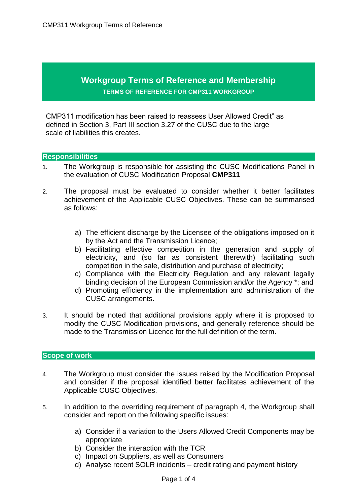## **Workgroup Terms of Reference and Membership TERMS OF REFERENCE FOR CMP311 WORKGROUP**

CMP311 modification has been raised to reassess User Allowed Credit" as defined in Section 3, Part III section 3.27 of the CUSC due to the large scale of liabilities this creates.

## **Responsibilities**

- 1. The Workgroup is responsible for assisting the CUSC Modifications Panel in the evaluation of CUSC Modification Proposal **CMP311**
- 2. The proposal must be evaluated to consider whether it better facilitates achievement of the Applicable CUSC Objectives. These can be summarised as follows:
	- a) The efficient discharge by the Licensee of the obligations imposed on it by the Act and the Transmission Licence;
	- b) Facilitating effective competition in the generation and supply of electricity, and (so far as consistent therewith) facilitating such competition in the sale, distribution and purchase of electricity;
	- c) Compliance with the Electricity Regulation and any relevant legally binding decision of the European Commission and/or the Agency \*; and
	- d) Promoting efficiency in the implementation and administration of the CUSC arrangements.
- 3. It should be noted that additional provisions apply where it is proposed to modify the CUSC Modification provisions, and generally reference should be made to the Transmission Licence for the full definition of the term.

## **Scope of work**

- 4. The Workgroup must consider the issues raised by the Modification Proposal and consider if the proposal identified better facilitates achievement of the Applicable CUSC Objectives.
- 5. In addition to the overriding requirement of paragraph 4, the Workgroup shall consider and report on the following specific issues:
	- a) Consider if a variation to the Users Allowed Credit Components may be appropriate
	- b) Consider the interaction with the TCR
	- c) Impact on Suppliers, as well as Consumers
	- d) Analyse recent SOLR incidents credit rating and payment history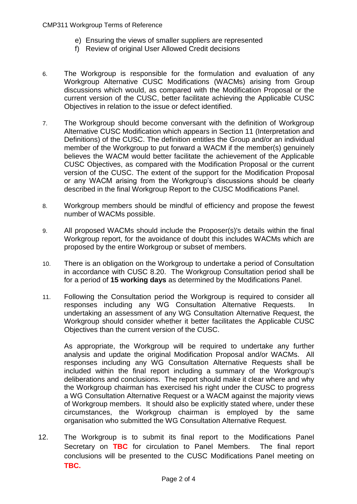- e) Ensuring the views of smaller suppliers are represented
- f) Review of original User Allowed Credit decisions
- 6. The Workgroup is responsible for the formulation and evaluation of any Workgroup Alternative CUSC Modifications (WACMs) arising from Group discussions which would, as compared with the Modification Proposal or the current version of the CUSC, better facilitate achieving the Applicable CUSC Objectives in relation to the issue or defect identified.
- 7. The Workgroup should become conversant with the definition of Workgroup Alternative CUSC Modification which appears in Section 11 (Interpretation and Definitions) of the CUSC. The definition entitles the Group and/or an individual member of the Workgroup to put forward a WACM if the member(s) genuinely believes the WACM would better facilitate the achievement of the Applicable CUSC Objectives, as compared with the Modification Proposal or the current version of the CUSC. The extent of the support for the Modification Proposal or any WACM arising from the Workgroup's discussions should be clearly described in the final Workgroup Report to the CUSC Modifications Panel.
- 8. Workgroup members should be mindful of efficiency and propose the fewest number of WACMs possible.
- 9. All proposed WACMs should include the Proposer(s)'s details within the final Workgroup report, for the avoidance of doubt this includes WACMs which are proposed by the entire Workgroup or subset of members.
- 10. There is an obligation on the Workgroup to undertake a period of Consultation in accordance with CUSC 8.20. The Workgroup Consultation period shall be for a period of **15 working days** as determined by the Modifications Panel.
- 11. Following the Consultation period the Workgroup is required to consider all responses including any WG Consultation Alternative Requests. In undertaking an assessment of any WG Consultation Alternative Request, the Workgroup should consider whether it better facilitates the Applicable CUSC Objectives than the current version of the CUSC.

As appropriate, the Workgroup will be required to undertake any further analysis and update the original Modification Proposal and/or WACMs. All responses including any WG Consultation Alternative Requests shall be included within the final report including a summary of the Workgroup's deliberations and conclusions. The report should make it clear where and why the Workgroup chairman has exercised his right under the CUSC to progress a WG Consultation Alternative Request or a WACM against the majority views of Workgroup members. It should also be explicitly stated where, under these circumstances, the Workgroup chairman is employed by the same organisation who submitted the WG Consultation Alternative Request.

12. The Workgroup is to submit its final report to the Modifications Panel Secretary on **TBC** for circulation to Panel Members. The final report conclusions will be presented to the CUSC Modifications Panel meeting on **TBC.**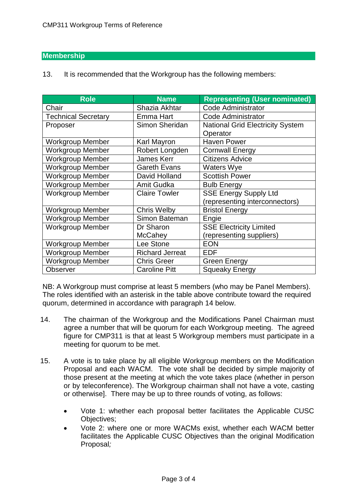## **Membership**

13. It is recommended that the Workgroup has the following members:

| <b>Role</b>                | <b>Name</b>            | <b>Representing (User nominated)</b>    |
|----------------------------|------------------------|-----------------------------------------|
| Chair                      | Shazia Akhtar          | <b>Code Administrator</b>               |
| <b>Technical Secretary</b> | Emma Hart              | <b>Code Administrator</b>               |
| Proposer                   | Simon Sheridan         | <b>National Grid Electricity System</b> |
|                            |                        | Operator                                |
| <b>Workgroup Member</b>    | Karl Mayron            | <b>Haven Power</b>                      |
| <b>Workgroup Member</b>    | Robert Longden         | <b>Cornwall Energy</b>                  |
| <b>Workgroup Member</b>    | <b>James Kerr</b>      | <b>Citizens Advice</b>                  |
| <b>Workgroup Member</b>    | <b>Gareth Evans</b>    | <b>Waters Wye</b>                       |
| <b>Workgroup Member</b>    | David Holland          | <b>Scottish Power</b>                   |
| <b>Workgroup Member</b>    | <b>Amit Gudka</b>      | <b>Bulb Energy</b>                      |
| <b>Workgroup Member</b>    | <b>Claire Towler</b>   | <b>SSE Energy Supply Ltd</b>            |
|                            |                        | (representing interconnectors)          |
| <b>Workgroup Member</b>    | <b>Chris Welby</b>     | <b>Bristol Energy</b>                   |
| <b>Workgroup Member</b>    | Simon Bateman          | Engie                                   |
| <b>Workgroup Member</b>    | Dr Sharon              | <b>SSE Electricity Limited</b>          |
|                            | <b>McCahey</b>         | (representing suppliers)                |
| <b>Workgroup Member</b>    | Lee Stone              | <b>EON</b>                              |
| <b>Workgroup Member</b>    | <b>Richard Jerreat</b> | <b>EDF</b>                              |
| <b>Workgroup Member</b>    | <b>Chris Greer</b>     | <b>Green Energy</b>                     |
| <b>Observer</b>            | <b>Caroline Pitt</b>   | <b>Squeaky Energy</b>                   |

NB: A Workgroup must comprise at least 5 members (who may be Panel Members). The roles identified with an asterisk in the table above contribute toward the required quorum, determined in accordance with paragraph 14 below.

- 14. The chairman of the Workgroup and the Modifications Panel Chairman must agree a number that will be quorum for each Workgroup meeting. The agreed figure for CMP311 is that at least 5 Workgroup members must participate in a meeting for quorum to be met.
- 15. A vote is to take place by all eligible Workgroup members on the Modification Proposal and each WACM. The vote shall be decided by simple majority of those present at the meeting at which the vote takes place (whether in person or by teleconference). The Workgroup chairman shall not have a vote, casting or otherwise]. There may be up to three rounds of voting, as follows:
	- Vote 1: whether each proposal better facilitates the Applicable CUSC Objectives;
	- Vote 2: where one or more WACMs exist, whether each WACM better facilitates the Applicable CUSC Objectives than the original Modification Proposal*;*